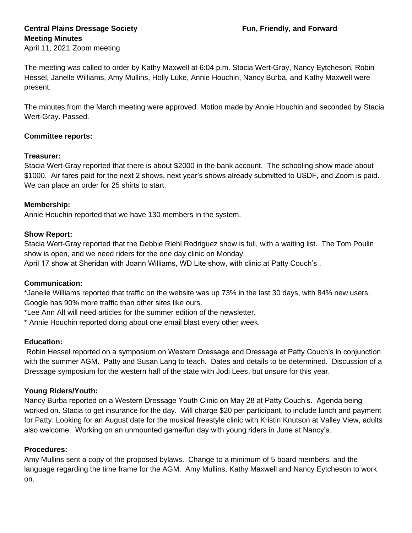# **Central Plains Dressage Society Fun, Friendly, and Forward Meeting Minutes**

April 11, 2021 Zoom meeting

The meeting was called to order by Kathy Maxwell at 6:04 p.m. Stacia Wert-Gray, Nancy Eytcheson, Robin Hessel, Janelle Williams, Amy Mullins, Holly Luke, Annie Houchin, Nancy Burba, and Kathy Maxwell were present.

The minutes from the March meeting were approved. Motion made by Annie Houchin and seconded by Stacia Wert-Gray. Passed.

## **Committee reports:**

#### **Treasurer:**

Stacia Wert-Gray reported that there is about \$2000 in the bank account. The schooling show made about \$1000. Air fares paid for the next 2 shows, next year's shows already submitted to USDF, and Zoom is paid. We can place an order for 25 shirts to start.

## **Membership:**

Annie Houchin reported that we have 130 members in the system.

## **Show Report:**

Stacia Wert-Gray reported that the Debbie Riehl Rodriguez show is full, with a waiting list. The Tom Poulin show is open, and we need riders for the one day clinic on Monday.

April 17 show at Sheridan with Joann Williams, WD Lite show, with clinic at Patty Couch's .

# **Communication:**

\*Janelle Williams reported that traffic on the website was up 73% in the last 30 days, with 84% new users. Google has 90% more traffic than other sites like ours.

\*Lee Ann Alf will need articles for the summer edition of the newsletter.

\* Annie Houchin reported doing about one email blast every other week.

# **Education:**

Robin Hessel reported on a symposium on Western Dressage and Dressage at Patty Couch's in conjunction with the summer AGM. Patty and Susan Lang to teach. Dates and details to be determined. Discussion of a Dressage symposium for the western half of the state with Jodi Lees, but unsure for this year.

# **Young Riders/Youth:**

Nancy Burba reported on a Western Dressage Youth Clinic on May 28 at Patty Couch's. Agenda being worked on. Stacia to get insurance for the day. Will charge \$20 per participant, to include lunch and payment for Patty. Looking for an August date for the musical freestyle clinic with Kristin Knutson at Valley View, adults also welcome. Working on an unmounted game/fun day with young riders in June at Nancy's.

#### **Procedures:**

Amy Mullins sent a copy of the proposed bylaws. Change to a minimum of 5 board members, and the language regarding the time frame for the AGM. Amy Mullins, Kathy Maxwell and Nancy Eytcheson to work on.